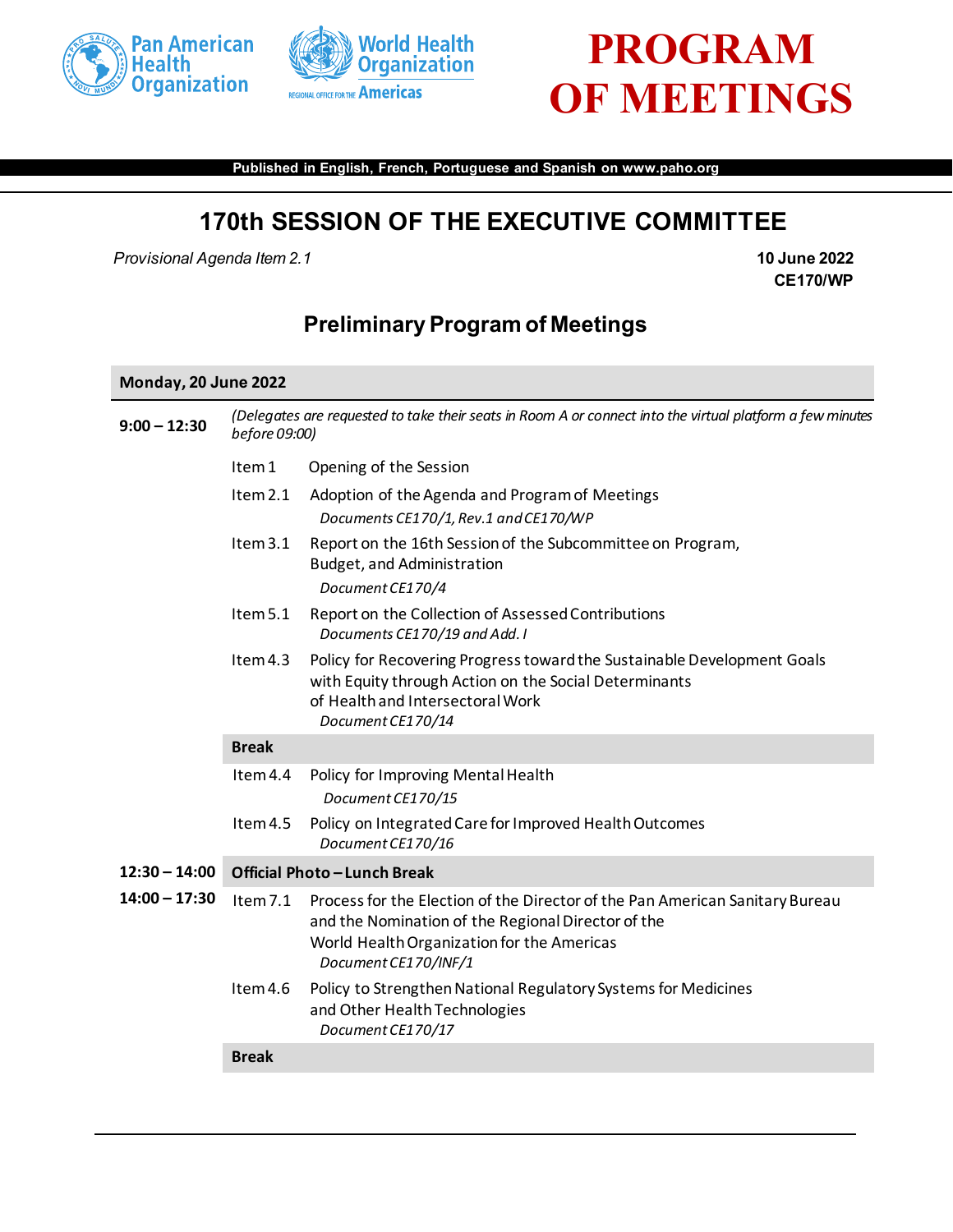



# **PROGRAM OF MEETINGS**

**Published in English, French, Portuguese and Spanish on www.paho.org**

## **170th SESSION OF THE EXECUTIVE COMMITTEE**

*Provisional Agenda Item 2.1* **10 June 2022**

**CE170/WP**

## **Preliminary Program of Meetings**

#### **Monday, 20 June 2022**

| $9:00 - 12:30$  | (Delegates are requested to take their seats in Room A or connect into the virtual platform a few minutes<br>before 09:00) |                                                                                                                                                                                                          |  |
|-----------------|----------------------------------------------------------------------------------------------------------------------------|----------------------------------------------------------------------------------------------------------------------------------------------------------------------------------------------------------|--|
|                 | Item 1                                                                                                                     | Opening of the Session                                                                                                                                                                                   |  |
|                 | Item 2.1                                                                                                                   | Adoption of the Agenda and Program of Meetings                                                                                                                                                           |  |
|                 |                                                                                                                            | Documents CE170/1, Rev.1 and CE170/WP                                                                                                                                                                    |  |
|                 | Item $3.1$                                                                                                                 | Report on the 16th Session of the Subcommittee on Program,<br>Budget, and Administration<br>Document CE170/4                                                                                             |  |
|                 |                                                                                                                            |                                                                                                                                                                                                          |  |
|                 | Item 5.1                                                                                                                   | Report on the Collection of Assessed Contributions<br>Documents CE170/19 and Add. I                                                                                                                      |  |
|                 | Item 4.3                                                                                                                   | Policy for Recovering Progress toward the Sustainable Development Goals<br>with Equity through Action on the Social Determinants<br>of Health and Intersectoral Work<br>Document CE170/14                |  |
|                 | <b>Break</b>                                                                                                               |                                                                                                                                                                                                          |  |
|                 | Item 4.4                                                                                                                   | Policy for Improving Mental Health                                                                                                                                                                       |  |
|                 |                                                                                                                            | Document CE170/15                                                                                                                                                                                        |  |
|                 | Item 4.5                                                                                                                   | Policy on Integrated Care for Improved Health Outcomes<br>Document CE170/16                                                                                                                              |  |
| $12:30 - 14:00$ | Official Photo-Lunch Break                                                                                                 |                                                                                                                                                                                                          |  |
| $14:00 - 17:30$ | Item $7.1$                                                                                                                 | Process for the Election of the Director of the Pan American Sanitary Bureau<br>and the Nomination of the Regional Director of the<br>World Health Organization for the Americas<br>Document CE170/INF/1 |  |
|                 | Item 4.6                                                                                                                   | Policy to Strengthen National Regulatory Systems for Medicines<br>and Other Health Technologies<br>Document CE170/17                                                                                     |  |
|                 | <b>Break</b>                                                                                                               |                                                                                                                                                                                                          |  |
|                 |                                                                                                                            |                                                                                                                                                                                                          |  |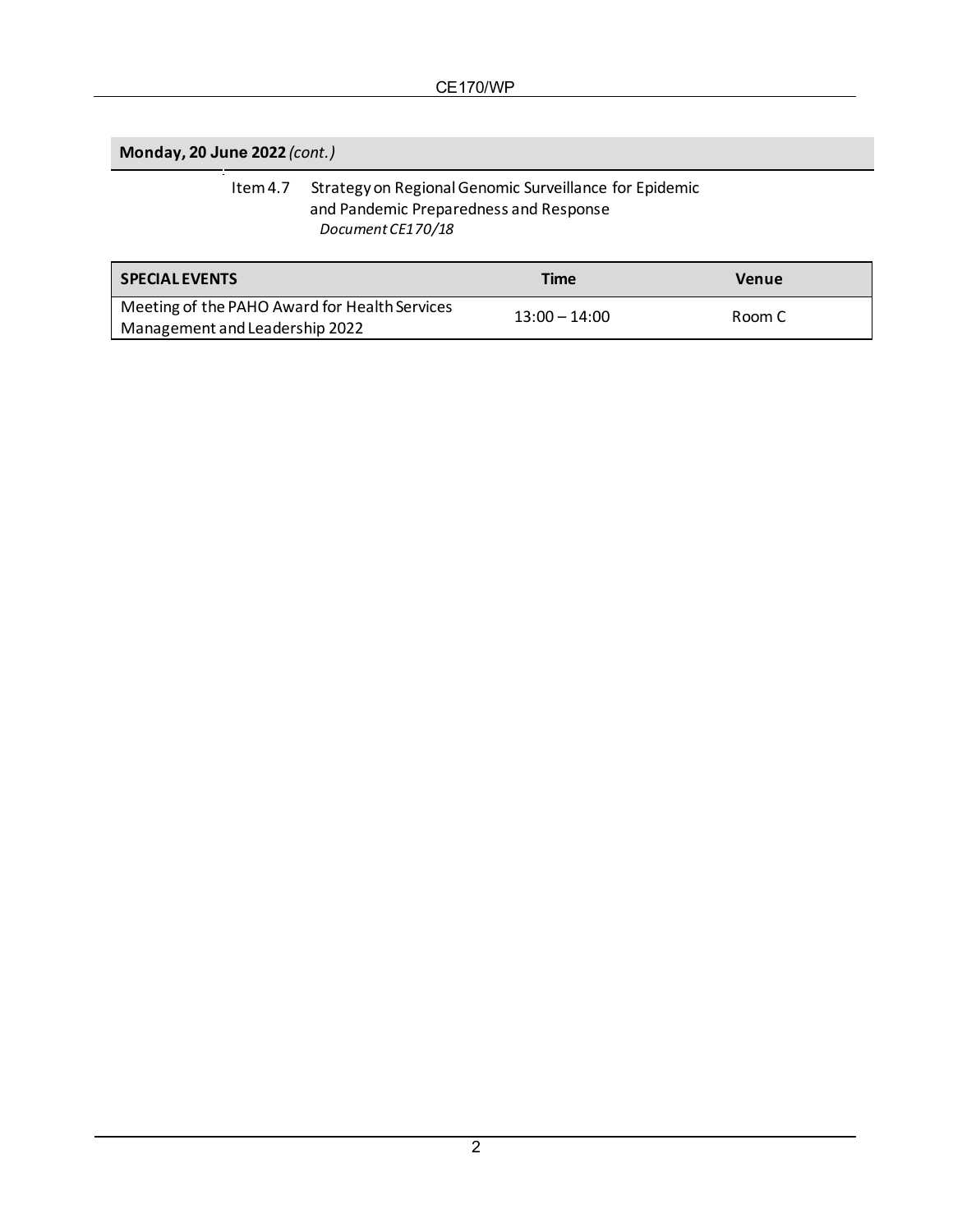**Monday, 20 June 2022** *(cont.)*

#### Item 4.7 Strategy on Regional Genomic Surveillance for Epidemic and Pandemic Preparedness and Response *Document CE170/18*

| l SPECIAL EVENTS                                                                | <b>Time</b>     | Venue  |
|---------------------------------------------------------------------------------|-----------------|--------|
| Meeting of the PAHO Award for Health Services<br>Management and Leadership 2022 | $13:00 - 14:00$ | Room C |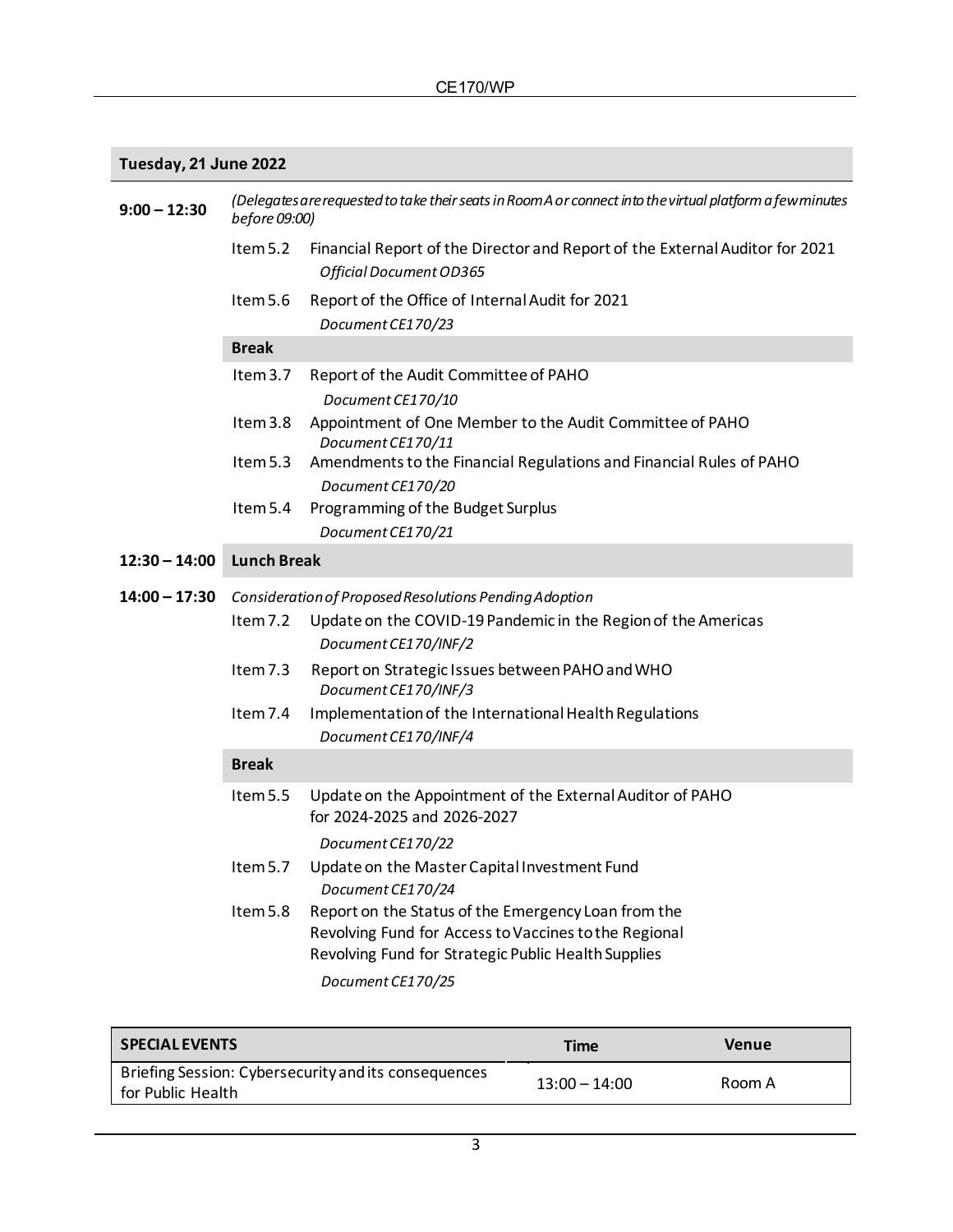## **Tuesday, 21 June 2022**

| $9:00 - 12:30$  | (Delegates are requested to take their seats in Room A or connect into the virtual platform a few minutes<br>before 09:00) |                                                                                                              |  |
|-----------------|----------------------------------------------------------------------------------------------------------------------------|--------------------------------------------------------------------------------------------------------------|--|
|                 | Item 5.2                                                                                                                   | Financial Report of the Director and Report of the External Auditor for 2021                                 |  |
|                 |                                                                                                                            | Official Document OD365                                                                                      |  |
|                 | Item 5.6                                                                                                                   | Report of the Office of Internal Audit for 2021                                                              |  |
|                 |                                                                                                                            | Document CE170/23                                                                                            |  |
|                 | <b>Break</b>                                                                                                               |                                                                                                              |  |
|                 | Item $3.7$                                                                                                                 | Report of the Audit Committee of PAHO<br>Document CE170/10                                                   |  |
|                 | Item $3.8$                                                                                                                 | Appointment of One Member to the Audit Committee of PAHO<br>Document CE170/11                                |  |
|                 | Item 5.3                                                                                                                   | Amendments to the Financial Regulations and Financial Rules of PAHO<br>Document CE170/20                     |  |
|                 | Item 5.4                                                                                                                   | Programming of the Budget Surplus                                                                            |  |
|                 |                                                                                                                            | Document CE170/21                                                                                            |  |
| $12:30 - 14:00$ | <b>Lunch Break</b>                                                                                                         |                                                                                                              |  |
| 14:00 – 17:30   | Consideration of Proposed Resolutions Pending Adoption                                                                     |                                                                                                              |  |
|                 | Item 7.2                                                                                                                   | Update on the COVID-19 Pandemic in the Region of the Americas                                                |  |
|                 |                                                                                                                            | Document CE170/INF/2                                                                                         |  |
|                 | Item 7.3                                                                                                                   | Report on Strategic Issues between PAHO and WHO<br>Document CE170/INF/3                                      |  |
|                 | Item $7.4$                                                                                                                 | Implementation of the International Health Regulations<br>Document CE170/INF/4                               |  |
|                 | <b>Break</b>                                                                                                               |                                                                                                              |  |
|                 | Item 5.5                                                                                                                   | Update on the Appointment of the External Auditor of PAHO<br>for 2024-2025 and 2026-2027                     |  |
|                 |                                                                                                                            | Document CE170/22                                                                                            |  |
|                 | Item 5.7                                                                                                                   | Update on the Master Capital Investment Fund<br>Document CE170/24                                            |  |
|                 | Item 5.8                                                                                                                   | Report on the Status of the Emergency Loan from the                                                          |  |
|                 |                                                                                                                            | Revolving Fund for Access to Vaccines to the Regional<br>Revolving Fund for Strategic Public Health Supplies |  |
|                 |                                                                                                                            | Document CE170/25                                                                                            |  |
|                 |                                                                                                                            |                                                                                                              |  |

| <b>SPECIAL EVENTS</b>                                                     | Time            | Venue  |
|---------------------------------------------------------------------------|-----------------|--------|
| Briefing Session: Cybersecurity and its consequences<br>for Public Health | $13:00 - 14:00$ | Room A |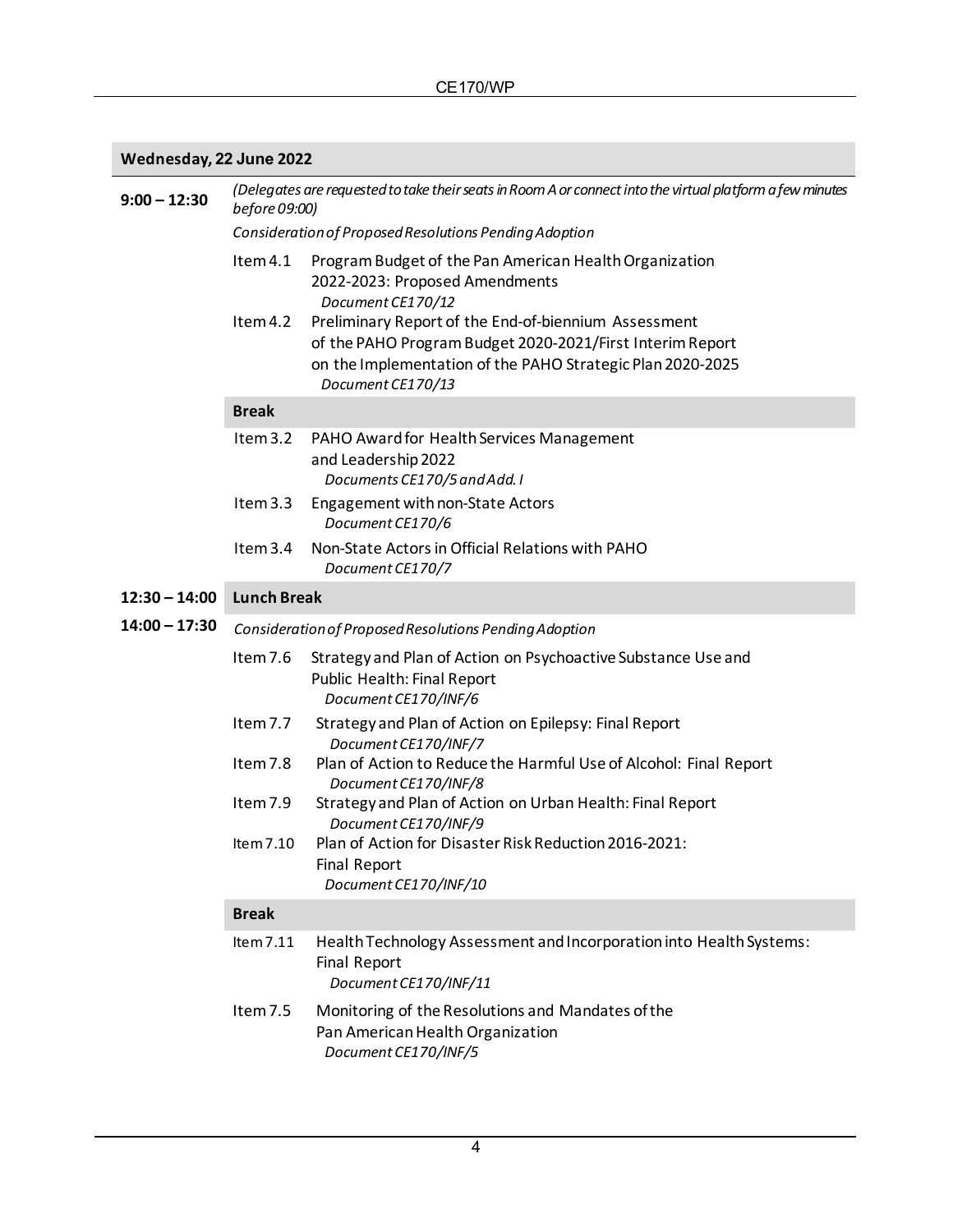## **Wednesday, 22 June 2022**

| $9:00 - 12:30$  | (Delegates are requested to take their seats in Room A or connect into the virtual platform a few minutes<br>before 09:00) |                                                                                                                                                                                                      |  |
|-----------------|----------------------------------------------------------------------------------------------------------------------------|------------------------------------------------------------------------------------------------------------------------------------------------------------------------------------------------------|--|
|                 | Consideration of Proposed Resolutions Pending Adoption                                                                     |                                                                                                                                                                                                      |  |
|                 | Item 4.1                                                                                                                   | Program Budget of the Pan American Health Organization<br>2022-2023: Proposed Amendments<br>Document CE170/12                                                                                        |  |
|                 | Item 4.2                                                                                                                   | Preliminary Report of the End-of-biennium Assessment<br>of the PAHO Program Budget 2020-2021/First Interim Report<br>on the Implementation of the PAHO Strategic Plan 2020-2025<br>Document CE170/13 |  |
|                 | <b>Break</b>                                                                                                               |                                                                                                                                                                                                      |  |
|                 | Item 3.2                                                                                                                   | PAHO Award for Health Services Management<br>and Leadership 2022<br>Documents CE170/5 and Add. I                                                                                                     |  |
|                 | Item 3.3                                                                                                                   | Engagement with non-State Actors<br>Document CE170/6                                                                                                                                                 |  |
|                 | Item 3.4                                                                                                                   | Non-State Actors in Official Relations with PAHO<br>Document CE170/7                                                                                                                                 |  |
| $12:30 - 14:00$ | <b>Lunch Break</b>                                                                                                         |                                                                                                                                                                                                      |  |
| $14:00 - 17:30$ | Consideration of Proposed Resolutions Pending Adoption                                                                     |                                                                                                                                                                                                      |  |
|                 | Item 7.6                                                                                                                   | Strategy and Plan of Action on Psychoactive Substance Use and<br>Public Health: Final Report<br>Document CE170/INF/6                                                                                 |  |
|                 | Item 7.7                                                                                                                   | Strategy and Plan of Action on Epilepsy: Final Report<br>Document CE170/INF/7                                                                                                                        |  |
|                 | Item 7.8                                                                                                                   | Plan of Action to Reduce the Harmful Use of Alcohol: Final Report<br>Document CE170/INF/8                                                                                                            |  |
|                 | Item 7.9                                                                                                                   | Strategy and Plan of Action on Urban Health: Final Report<br>Document CE170/INF/9                                                                                                                    |  |
|                 | Item 7.10                                                                                                                  | Plan of Action for Disaster Risk Reduction 2016-2021:<br><b>Final Report</b><br>Document CE170/INF/10                                                                                                |  |
|                 | <b>Break</b>                                                                                                               |                                                                                                                                                                                                      |  |
|                 | Item 7.11                                                                                                                  | Health Technology Assessment and Incorporation into Health Systems:<br><b>Final Report</b><br>Document CE170/INF/11                                                                                  |  |
|                 | Item 7.5                                                                                                                   | Monitoring of the Resolutions and Mandates of the<br>Pan American Health Organization<br>Document CE170/INF/5                                                                                        |  |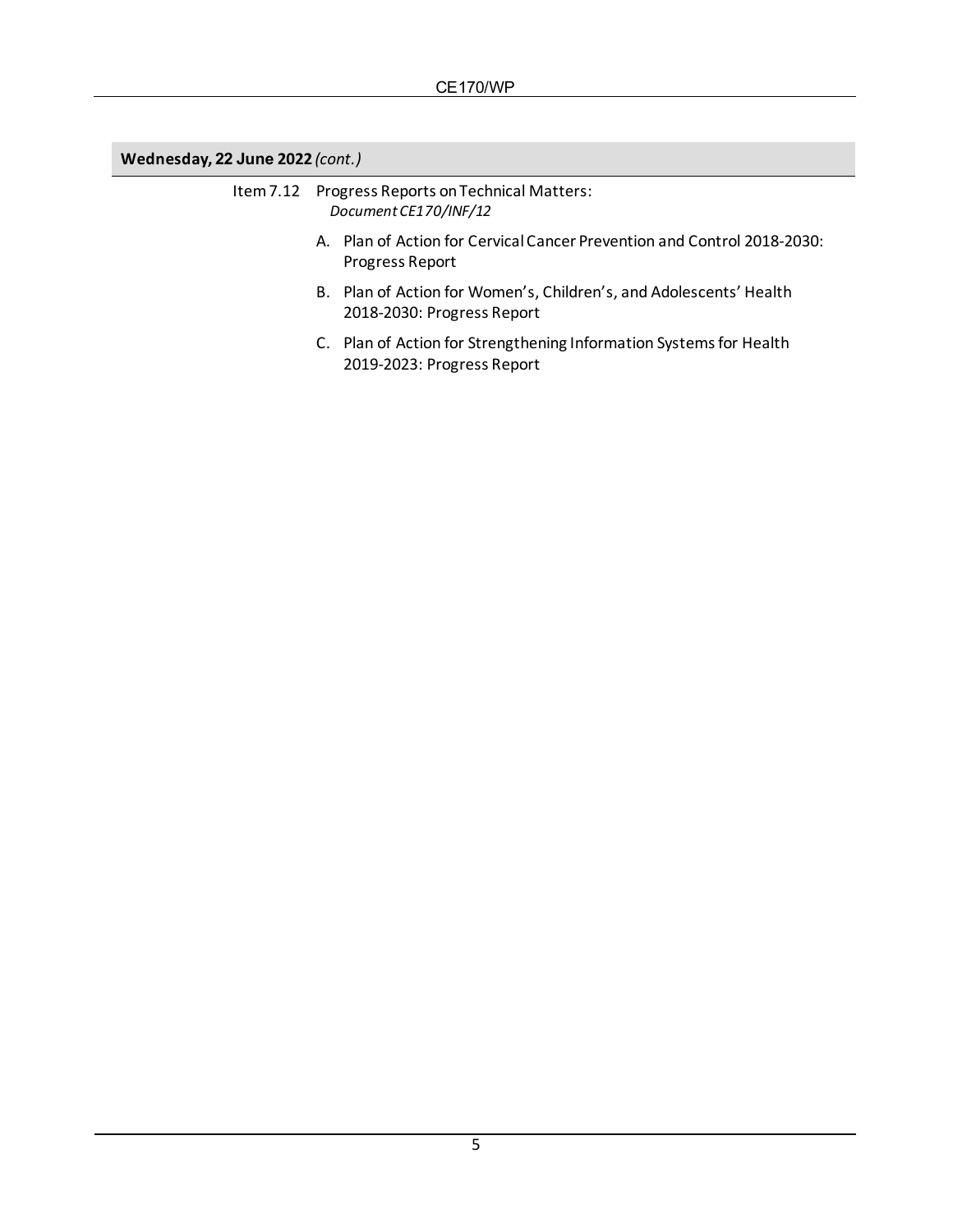### **Wednesday, 22 June 2022** *(cont.)*

#### Item 7.12 Progress Reports on Technical Matters: *Document CE170/INF/12*

- A. Plan of Action for Cervical Cancer Prevention and Control 2018-2030: Progress Report
- B. Plan of Action for Women's, Children's, and Adolescents' Health 2018-2030: Progress Report
- C. Plan of Action for Strengthening Information Systems for Health 2019-2023: Progress Report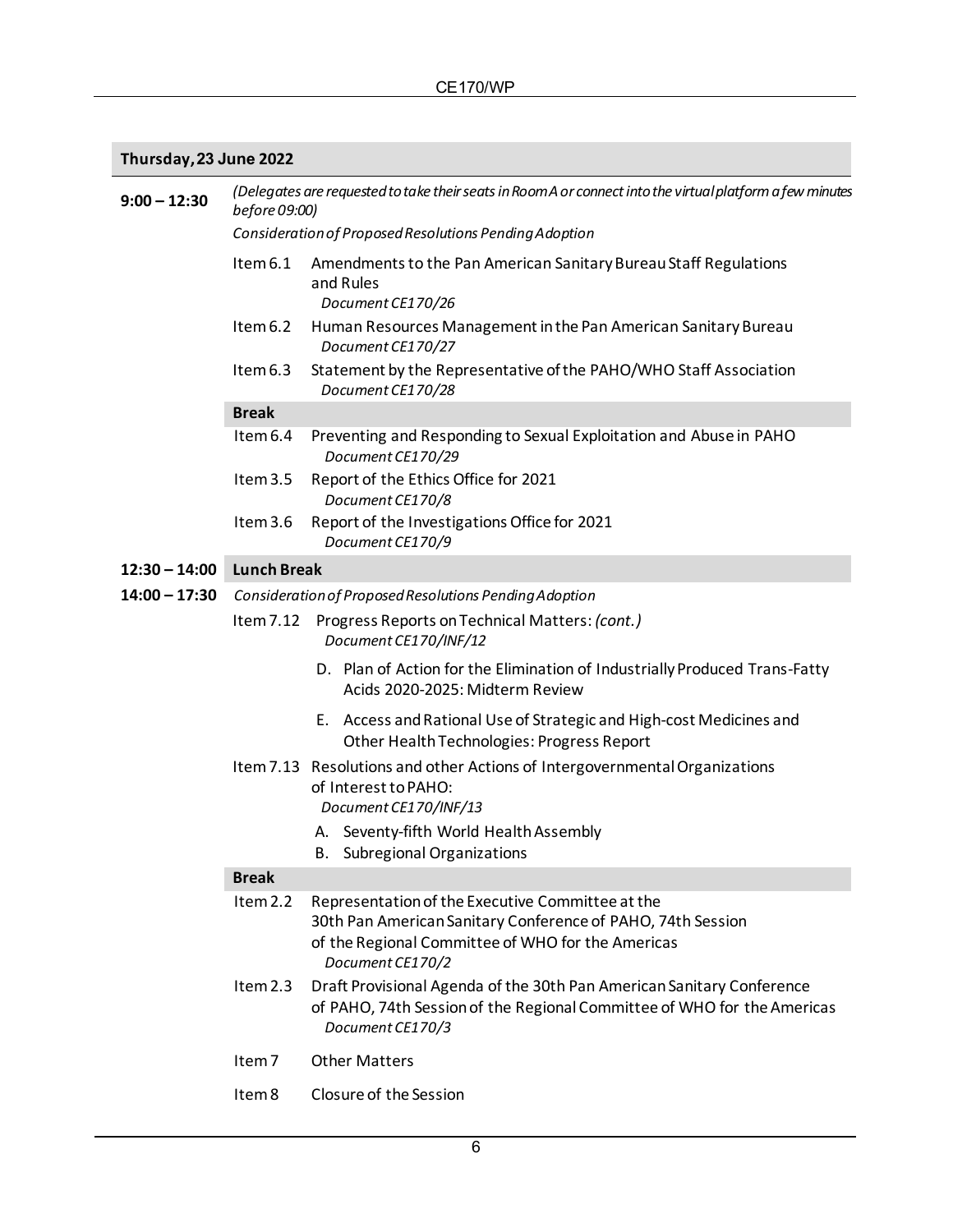## **Thursday, 23 June 2022**

| $9:00 - 12:30$  | (Delegates are requested to take their seats in Room A or connect into the virtual platform a few minutes<br>before 09:00) |                                                                                                                                                                                          |  |
|-----------------|----------------------------------------------------------------------------------------------------------------------------|------------------------------------------------------------------------------------------------------------------------------------------------------------------------------------------|--|
|                 | Consideration of Proposed Resolutions Pending Adoption                                                                     |                                                                                                                                                                                          |  |
|                 | Item 6.1                                                                                                                   | Amendments to the Pan American Sanitary Bureau Staff Regulations<br>and Rules<br>Document CE170/26                                                                                       |  |
|                 | Item 6.2                                                                                                                   | Human Resources Management in the Pan American Sanitary Bureau<br>Document CE170/27                                                                                                      |  |
|                 | Item 6.3                                                                                                                   | Statement by the Representative of the PAHO/WHO Staff Association<br>Document CE170/28                                                                                                   |  |
|                 | <b>Break</b>                                                                                                               |                                                                                                                                                                                          |  |
|                 | Item 6.4                                                                                                                   | Preventing and Responding to Sexual Exploitation and Abuse in PAHO<br>Document CE170/29                                                                                                  |  |
|                 | Item 3.5                                                                                                                   | Report of the Ethics Office for 2021<br>Document CE170/8                                                                                                                                 |  |
|                 | Item 3.6                                                                                                                   | Report of the Investigations Office for 2021<br>Document CE170/9                                                                                                                         |  |
| $12:30 - 14:00$ | <b>Lunch Break</b>                                                                                                         |                                                                                                                                                                                          |  |
| $14:00 - 17:30$ |                                                                                                                            | Consideration of Proposed Resolutions Pending Adoption                                                                                                                                   |  |
|                 |                                                                                                                            | Item 7.12 Progress Reports on Technical Matters: (cont.)<br>Document CE170/INF/12                                                                                                        |  |
|                 |                                                                                                                            | D. Plan of Action for the Elimination of Industrially Produced Trans-Fatty<br>Acids 2020-2025: Midterm Review                                                                            |  |
|                 |                                                                                                                            | E. Access and Rational Use of Strategic and High-cost Medicines and<br>Other Health Technologies: Progress Report                                                                        |  |
|                 |                                                                                                                            | Item 7.13 Resolutions and other Actions of Intergovernmental Organizations<br>of Interest to PAHO:<br>Document CE170/INF/13                                                              |  |
|                 |                                                                                                                            | A. Seventy-fifth World Health Assembly<br><b>B.</b> Subregional Organizations                                                                                                            |  |
|                 | <b>Break</b>                                                                                                               |                                                                                                                                                                                          |  |
|                 | Item $2.2$                                                                                                                 | Representation of the Executive Committee at the<br>30th Pan American Sanitary Conference of PAHO, 74th Session<br>of the Regional Committee of WHO for the Americas<br>Document CE170/2 |  |
|                 | Item $2.3$                                                                                                                 | Draft Provisional Agenda of the 30th Pan American Sanitary Conference<br>of PAHO, 74th Session of the Regional Committee of WHO for the Americas<br>Document CE170/3                     |  |
|                 | Item <sub>7</sub>                                                                                                          | <b>Other Matters</b>                                                                                                                                                                     |  |
|                 | Item 8                                                                                                                     | Closure of the Session                                                                                                                                                                   |  |